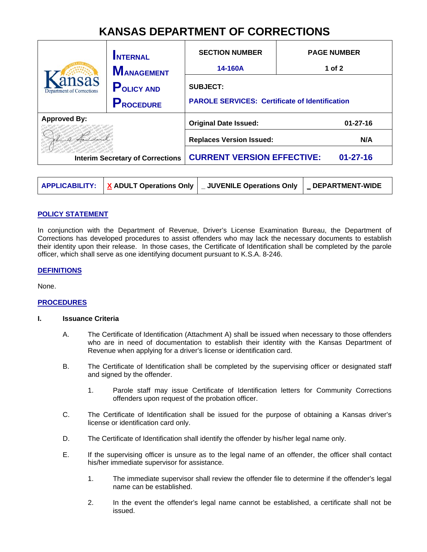# **KANSAS DEPARTMENT OF CORRECTIONS**

|                                          | <b>INTERNAL</b><br><b>MANAGEMENT</b>  | <b>SECTION NUMBER</b><br><b>PAGE NUMBER</b><br>14-160A<br>1 of $2$       |                |  |
|------------------------------------------|---------------------------------------|--------------------------------------------------------------------------|----------------|--|
| nsas<br><b>Department of Corrections</b> | <b>POLICY AND</b><br><b>PROCEDURE</b> | <b>SUBJECT:</b><br><b>PAROLE SERVICES: Certificate of Identification</b> |                |  |
| <b>Approved By:</b>                      |                                       | <b>Original Date Issued:</b>                                             | $01 - 27 - 16$ |  |
|                                          |                                       | <b>Replaces Version Issued:</b>                                          | N/A            |  |
| <b>Interim Secretary of Corrections</b>  |                                       | <b>CURRENT VERSION EFFECTIVE:</b>                                        | $01 - 27 - 16$ |  |

|  |  | APPLICABILITY:   X ADULT Operations Only   _ JUVENILE Operations Only | <b>DEPARTMENT-WIDE</b> |
|--|--|-----------------------------------------------------------------------|------------------------|
|--|--|-----------------------------------------------------------------------|------------------------|

# **POLICY STATEMENT**

In conjunction with the Department of Revenue, Driver's License Examination Bureau, the Department of Corrections has developed procedures to assist offenders who may lack the necessary documents to establish their identity upon their release. In those cases, the Certificate of Identification shall be completed by the parole officer, which shall serve as one identifying document pursuant to K.S.A. 8-246.

### **DEFINITIONS**

None.

# **PROCEDURES**

#### **I. Issuance Criteria**

- A. The Certificate of Identification (Attachment A) shall be issued when necessary to those offenders who are in need of documentation to establish their identity with the Kansas Department of Revenue when applying for a driver's license or identification card.
- B. The Certificate of Identification shall be completed by the supervising officer or designated staff and signed by the offender.
	- 1. Parole staff may issue Certificate of Identification letters for Community Corrections offenders upon request of the probation officer.
- C. The Certificate of Identification shall be issued for the purpose of obtaining a Kansas driver's license or identification card only.
- D. The Certificate of Identification shall identify the offender by his/her legal name only.
- E. If the supervising officer is unsure as to the legal name of an offender, the officer shall contact his/her immediate supervisor for assistance.
	- 1. The immediate supervisor shall review the offender file to determine if the offender's legal name can be established.
	- 2. In the event the offender's legal name cannot be established, a certificate shall not be issued.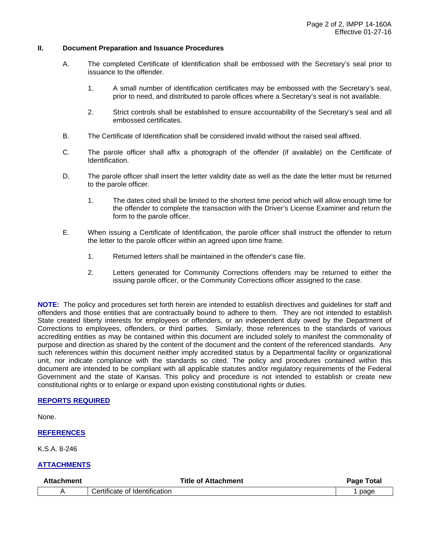#### **II. Document Preparation and Issuance Procedures**

- A. The completed Certificate of Identification shall be embossed with the Secretary's seal prior to issuance to the offender.
	- 1. A small number of identification certificates may be embossed with the Secretary's seal, prior to need, and distributed to parole offices where a Secretary's seal is not available.
	- 2. Strict controls shall be established to ensure accountability of the Secretary's seal and all embossed certificates.
- B. The Certificate of Identification shall be considered invalid without the raised seal affixed.
- C. The parole officer shall affix a photograph of the offender (if available) on the Certificate of Identification.
- D. The parole officer shall insert the letter validity date as well as the date the letter must be returned to the parole officer.
	- 1. The dates cited shall be limited to the shortest time period which will allow enough time for the offender to complete the transaction with the Driver's License Examiner and return the form to the parole officer.
- E. When issuing a Certificate of Identification, the parole officer shall instruct the offender to return the letter to the parole officer within an agreed upon time frame.
	- 1. Returned letters shall be maintained in the offender's case file.
	- 2. Letters generated for Community Corrections offenders may be returned to either the issuing parole officer, or the Community Corrections officer assigned to the case.

**NOTE:** The policy and procedures set forth herein are intended to establish directives and guidelines for staff and offenders and those entities that are contractually bound to adhere to them. They are not intended to establish State created liberty interests for employees or offenders, or an independent duty owed by the Department of Corrections to employees, offenders, or third parties. Similarly, those references to the standards of various accrediting entities as may be contained within this document are included solely to manifest the commonality of purpose and direction as shared by the content of the document and the content of the referenced standards. Any such references within this document neither imply accredited status by a Departmental facility or organizational unit, nor indicate compliance with the standards so cited. The policy and procedures contained within this document are intended to be compliant with all applicable statutes and/or regulatory requirements of the Federal Government and the state of Kansas. This policy and procedure is not intended to establish or create new constitutional rights or to enlarge or expand upon existing constitutional rights or duties.

# **REPORTS REQUIRED**

None.

# **REFERENCES**

K.S.A. 8-246

# **ATTACHMENTS**

| <b>Attachment</b> | <b>Title of Attachment</b>    | <b>Total</b><br>Page |
|-------------------|-------------------------------|----------------------|
|                   | Certificate of Identification | page                 |